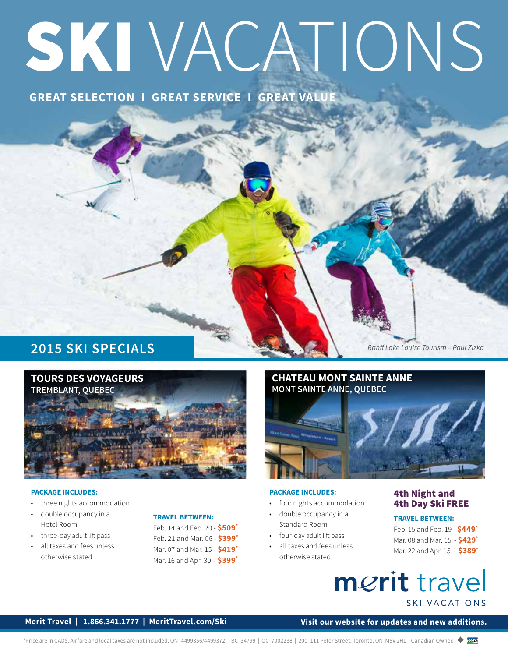# SKI VACATIONS

# **GREAT SELECTION I GREAT SERVICE I GREAT VALUE**

# **2015 SKI SPECIALS**



#### **PACKAGE INCLUDES:**

- three nights accommodation
- double occupancy in a Hotel Room
- three-day adult lift pass
- all taxes and fees unless otherwise stated

#### **TRAVEL BETWEEN:**

Feb. 14 and Feb. 20 - **\$509\*** Feb. 21 and Mar. 06 - **\$399\*** Mar. 07 and Mar. 15 - **\$419\*** Mar. 16 and Apr. 30 - **\$399\***



#### **PACKAGE INCLUDES:**

- four nights accommodation
- double occupancy in a Standard Room
- four-day adult lift pass
- all taxes and fees unless otherwise stated

#### 4th Night and 4th Day Ski FREE

#### **TRAVEL BETWEEN:**

*Banff Lake Louise Tourism – Paul Zizka*

Feb. 15 and Feb. 19 - **\$449\*** Mar. 08 and Mar. 15 - **\$429\*** Mar. 22 and Apr. 15 - **\$389\***

# merit travel **SKI VACATIONS**

#### **Merit Travel | 1.866.341.1777 | MeritTravel.com/Ski**

**Visit our website for updates and new additions.**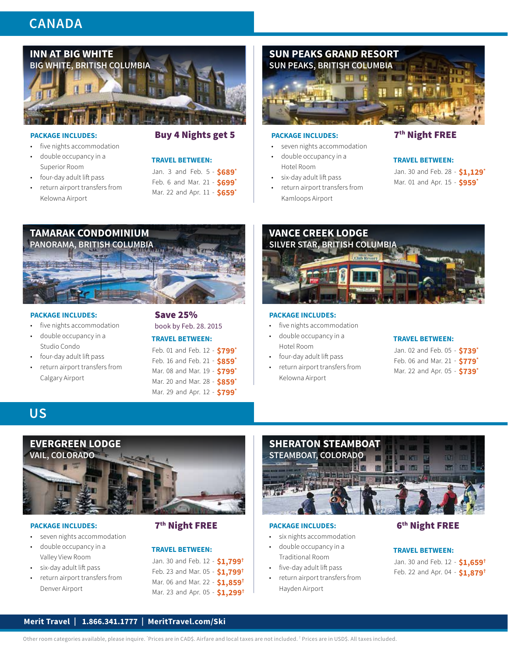# **CANADA**



- five nights accommodation
- double occupancy in a Superior Room
- four-day adult lift pass
- return airport transfers from Kelowna Airport



#### **TRAVEL BETWEEN:**

Jan. 3 and Feb. 5 **\$689\*** - Feb. 6 and Mar. 21 **\$699\*** -

Mar. 22 and Apr. 11 **\$659\*** -



#### PACKAGE INCLUDES: **7<sup>th</sup> Night FREE**

- seven nights accommodation
- double occupancy in a
- Hotel Room
- six-day adult lift pass
- return airport transfers from Kamloops Airport

#### **TRAVEL BETWEEN:**

Jan. 30 and Feb. 28 **\$1,129\*** - Mar. 01 and Apr. 15 **\$959\*** -



#### **PACKAGE INCLUDES:**

- five nights accommodation
- double occupancy in a Studio Condo
- four-day adult lift pass
- return airport transfers from Calgary Airport



#### **TRAVEL BETWEEN:**

|  |  |  | Feb. 01 and Feb. 12 - \$799* |
|--|--|--|------------------------------|
|  |  |  | Feb. 16 and Feb. 21 - \$859* |
|  |  |  | Mar. 08 and Mar. 19 - 5799*  |
|  |  |  | Mar. 20 and Mar. 28 - \$859* |
|  |  |  | Mar. 29 and Apr. 12 - 5799*  |

# **VANCE CREEK LODGE SILVER STAR, BRITISH COLUMBIA**

#### **PACKAGE INCLUDES:**

- five nights accommodation
- double occupancy in a Hotel Room
- four-day adult lift pass
- return airport transfers from Kelowna Airport

#### **TRAVEL BETWEEN:**

|  |  |  | Jan. 02 and Feb. 05 - \$739* |
|--|--|--|------------------------------|
|  |  |  | Feb. 06 and Mar. 21 - \$779* |
|  |  |  | Mar. 22 and Apr. 05 - \$739* |

## **US**



#### PACKAGE INCLUDES: **Night FREE**

- seven nights accommodation
- double occupancy in a Valley View Room
- six-day adult lift pass
- return airport transfers from Denver Airport

#### **TRAVEL BETWEEN:**

Jan. 30 and Feb. 12 **\$1,799†** - Feb. 23 and Mar. 05 **\$1,799†** - Mar. 06 and Mar. 22 **\$1,859†** - Mar. 23 and Apr. 05 **\$1,299†** -



#### PACKAGE INCLUDES: 6<sup>th</sup> Night FREE

- six nights accommodation
- double occupancy in a Traditional Room
- five-day adult lift pass
- return airport transfers from Hayden Airport

#### **TRAVEL BETWEEN:**

Jan. 30 and Feb. 12 **\$1,659†** - Feb. 22 and Apr. 04 **\$1,879†** -

#### **Merit Travel | 1.866.341.1777 | MeritTravel.com/Ski**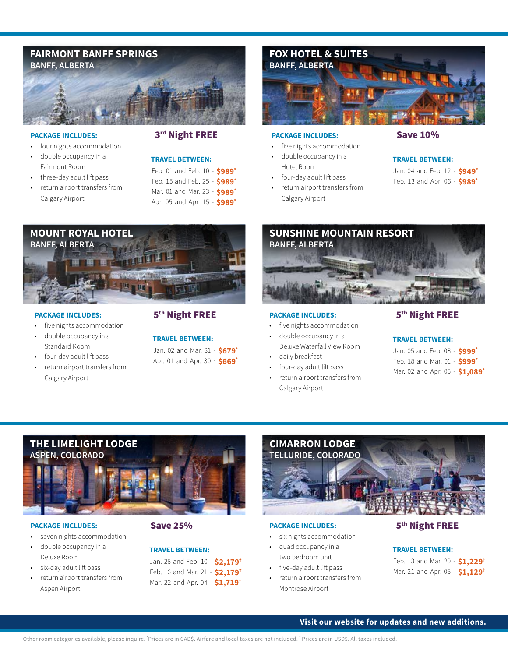

#### PACKAGE INCLUDES: 3rd Night FREE

#### • four nights accommodation

- double occupancy in a Fairmont Room
- 
- three-day adult lift pass • return airport transfers from
- Calgary Airport





- 
- five nights accommodation
- double occupancy in a Standard Room
- four-day adult lift pass
- return airport transfers from Calgary Airport

#### PACKAGE INCLUDES: 5<sup>th</sup> Night FREE

Jan. 02 and Mar. 31 **\$679\*** - Apr. 01 and Apr. 30 **\$669\*** - **TRAVEL BETWEEN:** 



#### PACKAGE INCLUDES: Save 10%

- five nights accommodation
- double occupancy in a
- Hotel Room
- four-day adult lift pass
- return airport transfers from Calgary Airport

#### **TRAVEL BETWEEN:**

|  |  |  | Jan. 04 and Feb. 12 - \$949* |
|--|--|--|------------------------------|
|  |  |  | Feb. 13 and Apr. 06 - \$989* |



- five nights accommodation
- double occupancy in a Deluxe Waterfall View Room
- daily breakfast
- four-day adult lift pass • return airport transfers from Calgary Airport

#### PACKAGE INCLUDES: 5<sup>th</sup> Night FREE

#### **TRAVEL BETWEEN:**

| Jan. 05 and Feb. 08 - \$999*   |  |
|--------------------------------|--|
| Feb. 18 and Mar. 01 - \$999*   |  |
| Mar. 02 and Apr. 05 - \$1,089* |  |



#### PACKAGE INCLUDES: Save 25%

- seven nights accommodation
- double occupancy in a Deluxe Room
- six-day adult lift pass
- return airport transfers from Aspen Airport

#### **TRAVEL BETWEEN:**

Jan. 26 and Feb. 10 - **\$2,179†** Feb. 16 and Mar. 21 - **\$2,179†** Mar. 22 and Apr. 04 - **\$1,719†**



#### PACKAGE INCLUDES: 5<sup>th</sup> Night FREE

- six nights accommodation
- quad occupancy in a two bedroom unit
- five-day adult lift pass
- return airport transfers from Montrose Airport

**TRAVEL BETWEEN:** 

Feb. 13 and Mar. 20 - **\$1,229†** Mar. 21 and Apr. 05 - **\$1,129†**